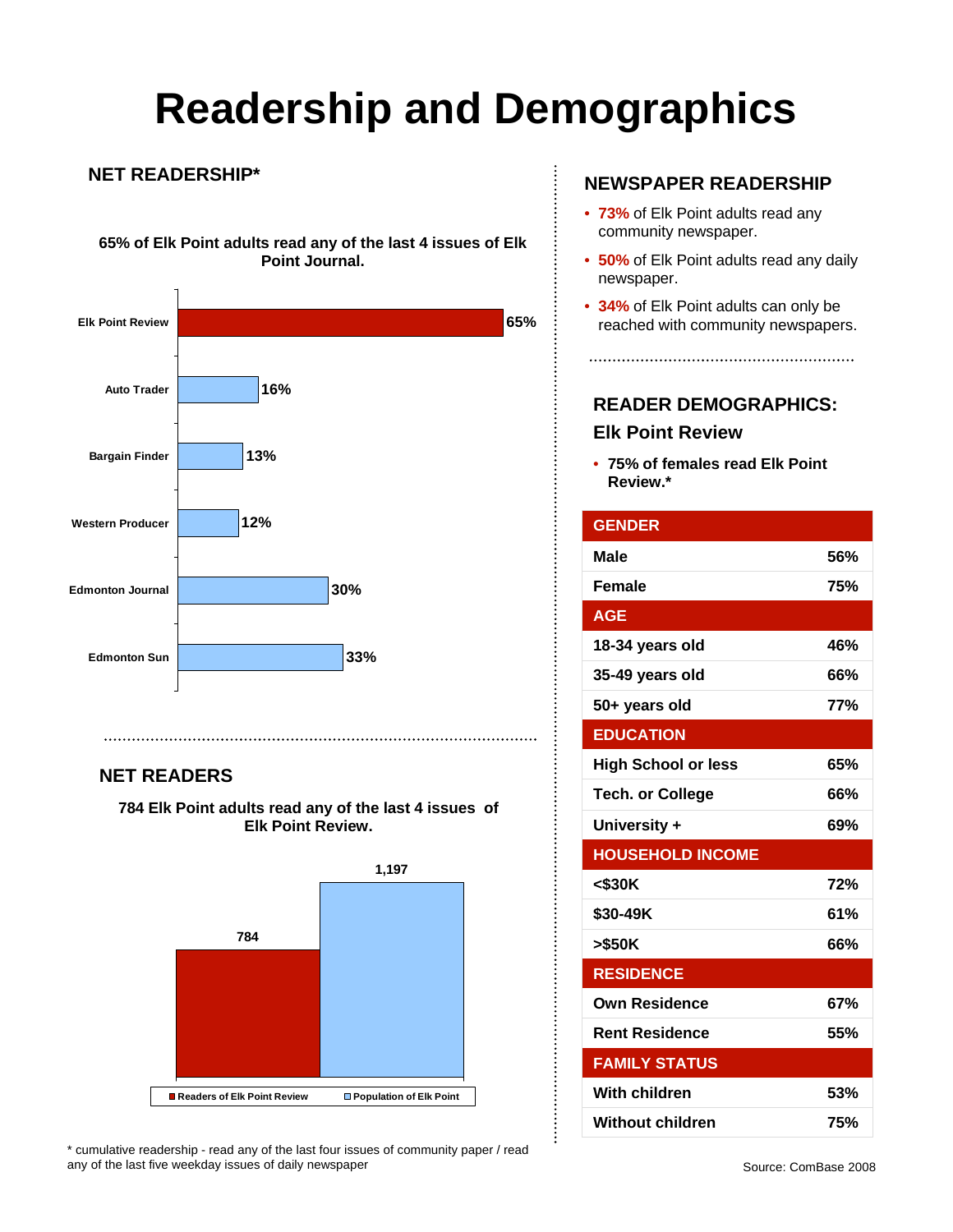# **Readership and Demographics**

### **NET READERSHIP\***

**65% of Elk Point adults read any of the last 4 issues of Elk Point Journal.**



### **NET READERS**

**784 Elk Point adults read any of the last 4 issues of Elk Point Review.** 



\* cumulative readership - read any of the last four issues of community paper / read any of the last five weekday issues of daily newspaper

### **NEWSPAPER READERSHIP**

- **73%** of Elk Point adults read any community newspaper.
- **50%** of Elk Point adults read any daily newspaper.
- **34%** of Elk Point adults can only be reached with community newspapers.

### **READER DEMOGRAPHICS: Elk Point Review**

• **75% of females read Elk Point Review.\***

| <b>GENDER</b>              |            |
|----------------------------|------------|
| Male                       | 56%        |
| <b>Female</b>              | 75%        |
| <b>AGE</b>                 |            |
| 18-34 years old            | 46%        |
| 35-49 years old            | 66%        |
| 50+ years old              | <b>77%</b> |
| <b>EDUCATION</b>           |            |
| <b>High School or less</b> | 65%        |
| <b>Tech. or College</b>    | 66%        |
| University +               | 69%        |
| <b>HOUSEHOLD INCOME</b>    |            |
| $<$ \$30K                  | 72%        |
| \$30-49K                   | 61%        |
| >\$50K                     | 66%        |
| <b>RESIDENCE</b>           |            |
| <b>Own Residence</b>       | 67%        |
| <b>Rent Residence</b>      | 55%        |
| <b>FAMILY STATUS</b>       |            |
| With children              | 53%        |
| <b>Without children</b>    | 75%        |

 $\vdots$